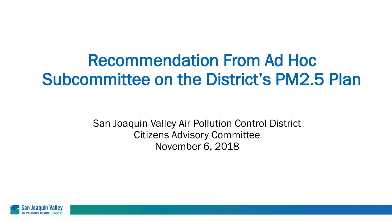## Recommendation From Ad Hoc Subcommittee on the District's PM2.5 Plan

San Joaquin Valley Air Pollution Control District Citizens Advisory Committee November 6, 2018

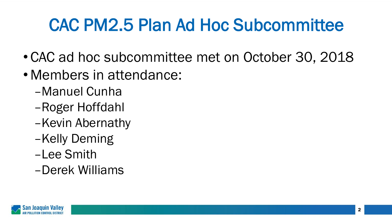## CAC PM2.5 Plan Ad Hoc Subcommittee

- CAC ad hoc subcommittee met on October 30, 2018
- Members in attendance:
	- –Manuel Cunha
	- –Roger Hoffdahl
	- –Kevin Abernathy
	- –Kelly Deming
	- –Lee Smith
	- –Derek Williams